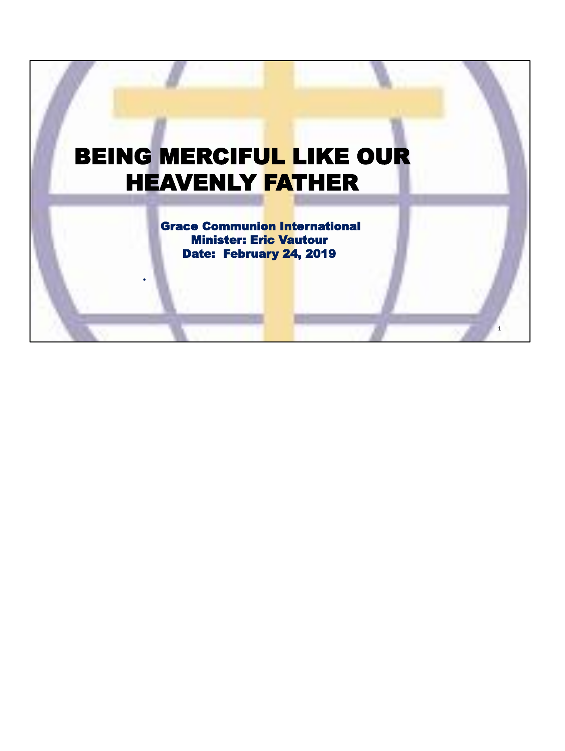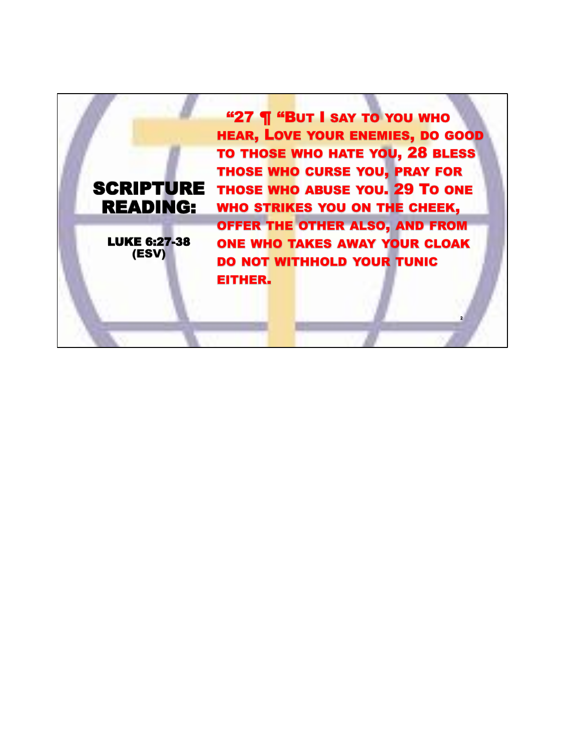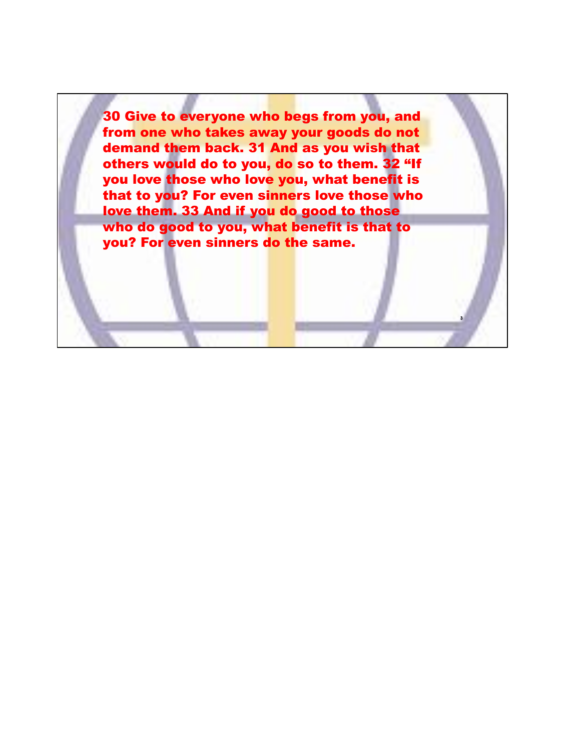30 Give to everyone who begs from you, and from one who takes away your goods do not demand them back. 31 And as you wish that others would do to you, do so to them. 32 "If you love those who love you, what benefit is that to you? For even sinners love those who love them. 33 And if you do good to those who do good to you, what benefit is that to you? For even sinners do the same.

**3**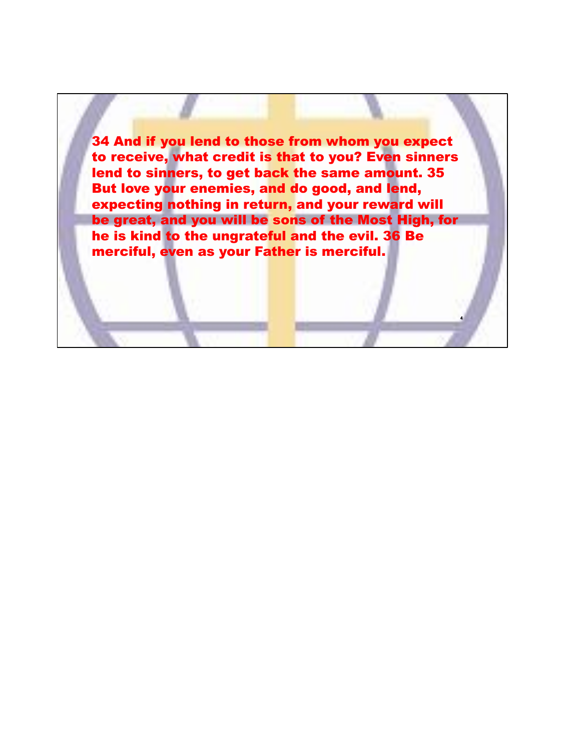34 And if you lend to those from whom you expect to receive, what credit is that to you? Even sinners lend to sinners, to get back the same amount. 35 But love your enemies, and do good, and lend, expecting nothing in return, and your reward will be great, and you will be sons of the Most High, for he is kind to the ungrateful and the evil. 36 Be merciful, even as your Father is merciful.

**4**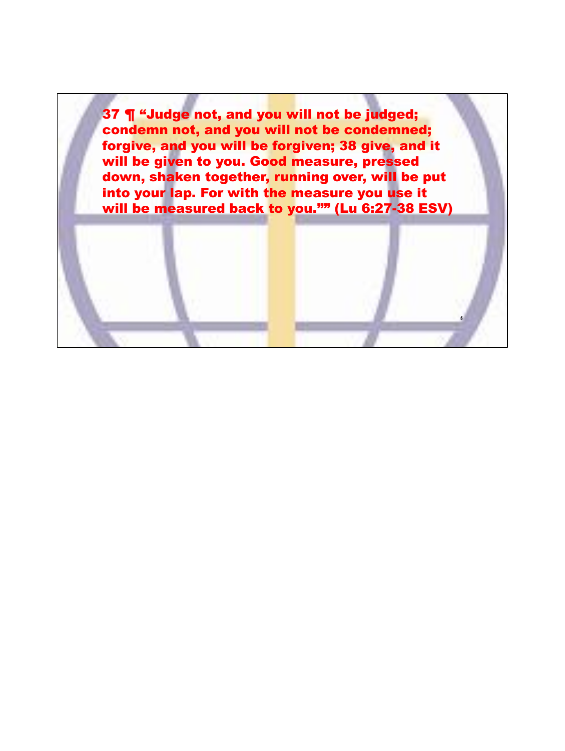37 ¶ "Judge not, and you will not be judged; condemn not, and you will not be condemned; forgive, and you will be forgiven; 38 give, and it will be given to you. Good measure, pressed down, shaken together, running over, will be put into your lap. For with the measure you use it will be measured back to you."" (Lu 6:27-38 ESV)

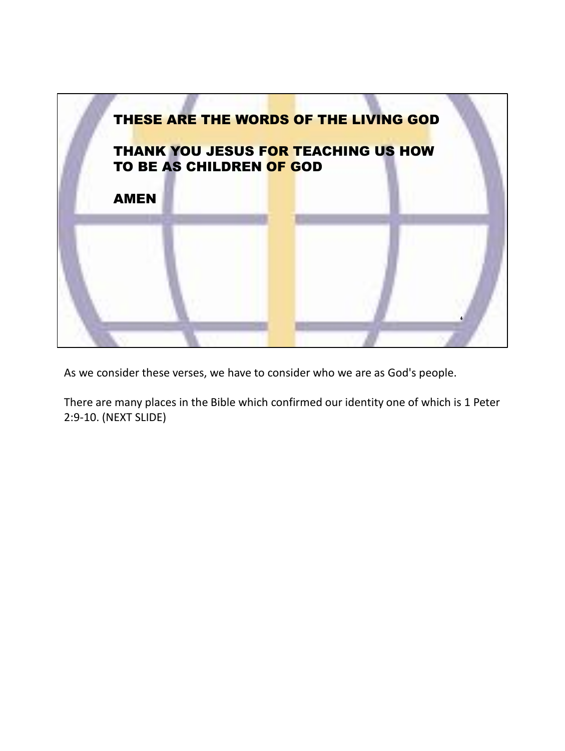

As we consider these verses, we have to consider who we are as God's people.

There are many places in the Bible which confirmed our identity one of which is 1 Peter 2:9-10. (NEXT SLIDE)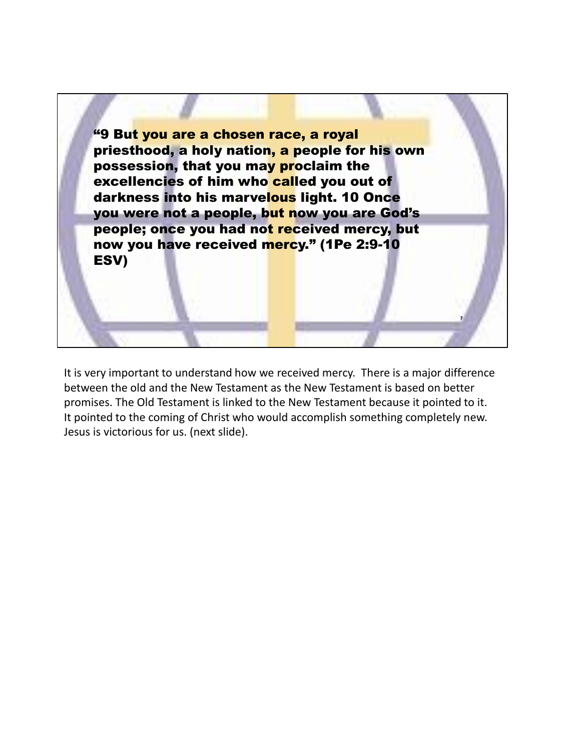

It is very important to understand how we received mercy. There is a major difference between the old and the New Testament as the New Testament is based on better promises. The Old Testament is linked to the New Testament because it pointed to it. It pointed to the coming of Christ who would accomplish something completely new. Jesus is victorious for us. (next slide).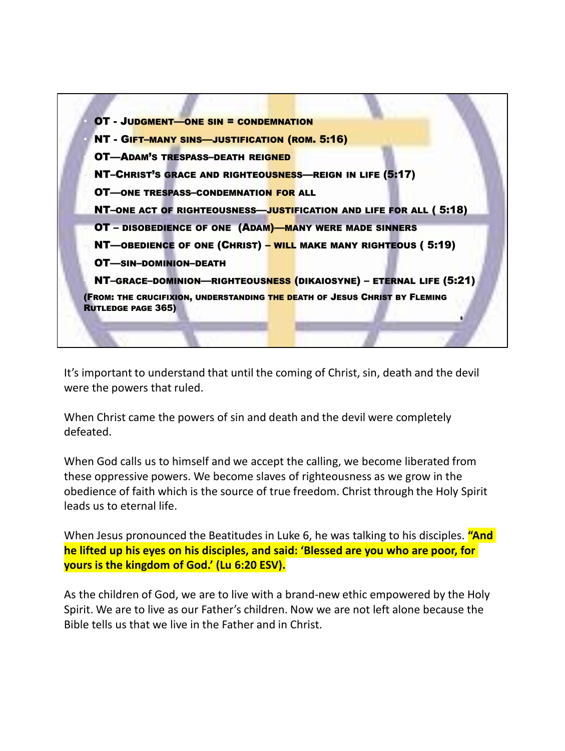

It's important to understand that until the coming of Christ, sin, death and the devil were the powers that ruled.

When Christ came the powers of sin and death and the devil were completely defeated.

When God calls us to himself and we accept the calling, we become liberated from these oppressive powers. We become slaves of righteousness as we grow in the obedience of faith which is the source of true freedom. Christ through the Holy Spirit leads us to eternal life.

When Jesus pronounced the Beatitudes in Luke 6, he was talking to his disciples. **"And he lifted up his eyes on his disciples, and said: 'Blessed are you who are poor, for yours is the kingdom of God.' (Lu 6:20 ESV).**

As the children of God, we are to live with a brand-new ethic empowered by the Holy Spirit. We are to live as our Father's children. Now we are not left alone because the Bible tells us that we live in the Father and in Christ.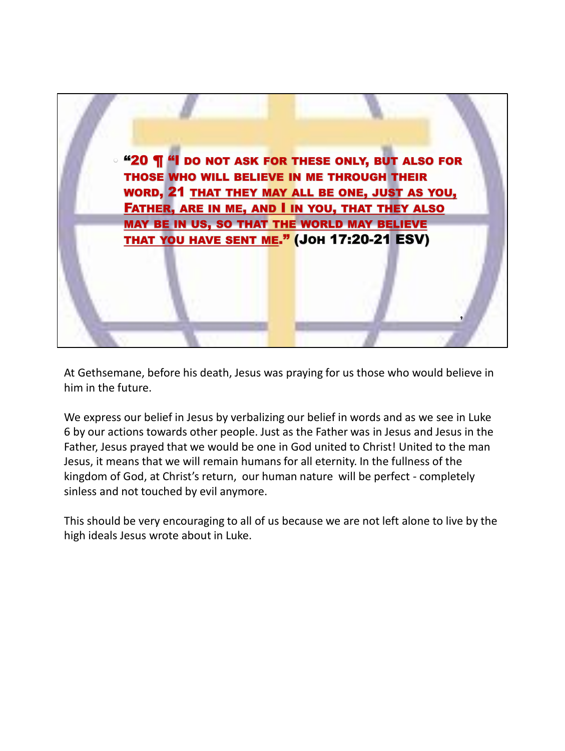

At Gethsemane, before his death, Jesus was praying for us those who would believe in him in the future.

We express our belief in Jesus by verbalizing our belief in words and as we see in Luke 6 by our actions towards other people. Just as the Father was in Jesus and Jesus in the Father, Jesus prayed that we would be one in God united to Christ! United to the man Jesus, it means that we will remain humans for all eternity. In the fullness of the kingdom of God, at Christ's return, our human nature will be perfect - completely sinless and not touched by evil anymore.

This should be very encouraging to all of us because we are not left alone to live by the high ideals Jesus wrote about in Luke.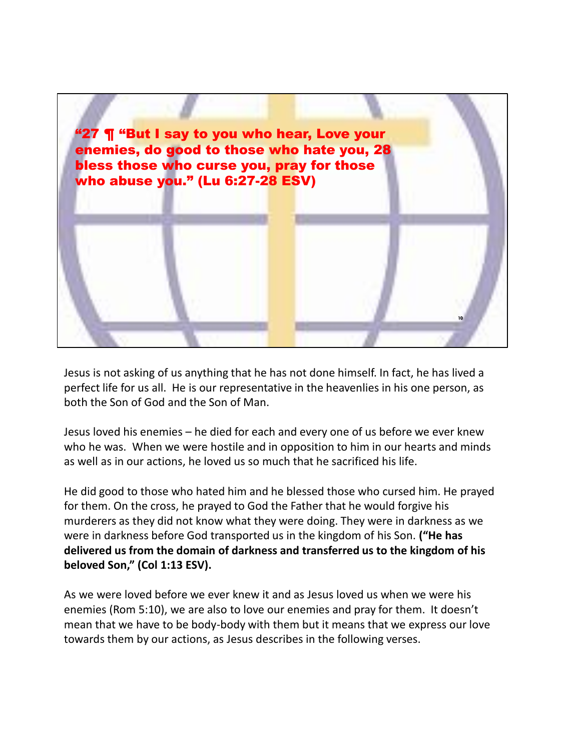

Jesus is not asking of us anything that he has not done himself. In fact, he has lived a perfect life for us all. He is our representative in the heavenlies in his one person, as both the Son of God and the Son of Man.

Jesus loved his enemies – he died for each and every one of us before we ever knew who he was. When we were hostile and in opposition to him in our hearts and minds as well as in our actions, he loved us so much that he sacrificed his life.

He did good to those who hated him and he blessed those who cursed him. He prayed for them. On the cross, he prayed to God the Father that he would forgive his murderers as they did not know what they were doing. They were in darkness as we were in darkness before God transported us in the kingdom of his Son. **("He has delivered us from the domain of darkness and transferred us to the kingdom of his beloved Son," (Col 1:13 ESV).**

As we were loved before we ever knew it and as Jesus loved us when we were his enemies (Rom 5:10), we are also to love our enemies and pray for them. It doesn't mean that we have to be body-body with them but it means that we express our love towards them by our actions, as Jesus describes in the following verses.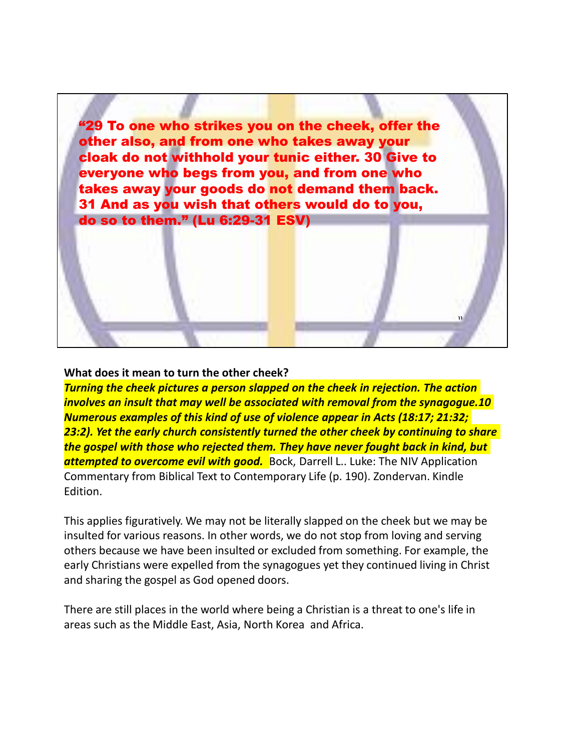"29 To one who strikes you on the cheek, offer the other also, and from one who takes away your cloak do not withhold your tunic either. 30 Give to everyone who begs from you, and from one who takes away your goods do not demand them back. 31 And as you wish that others would do to you, do so to them." (Lu 6:29-31 ESV)

## **What does it mean to turn the other cheek?**

*Turning the cheek pictures a person slapped on the cheek in rejection. The action involves an insult that may well be associated with removal from the synagogue.10 Numerous examples of this kind of use of violence appear in Acts (18:17; 21:32; 23:2). Yet the early church consistently turned the other cheek by continuing to share the gospel with those who rejected them. They have never fought back in kind, but attempted to overcome evil with good.* Bock, Darrell L.. Luke: The NIV Application Commentary from Biblical Text to Contemporary Life (p. 190). Zondervan. Kindle Edition.

**11**

This applies figuratively. We may not be literally slapped on the cheek but we may be insulted for various reasons. In other words, we do not stop from loving and serving others because we have been insulted or excluded from something. For example, the early Christians were expelled from the synagogues yet they continued living in Christ and sharing the gospel as God opened doors.

There are still places in the world where being a Christian is a threat to one's life in areas such as the Middle East, Asia, North Korea and Africa.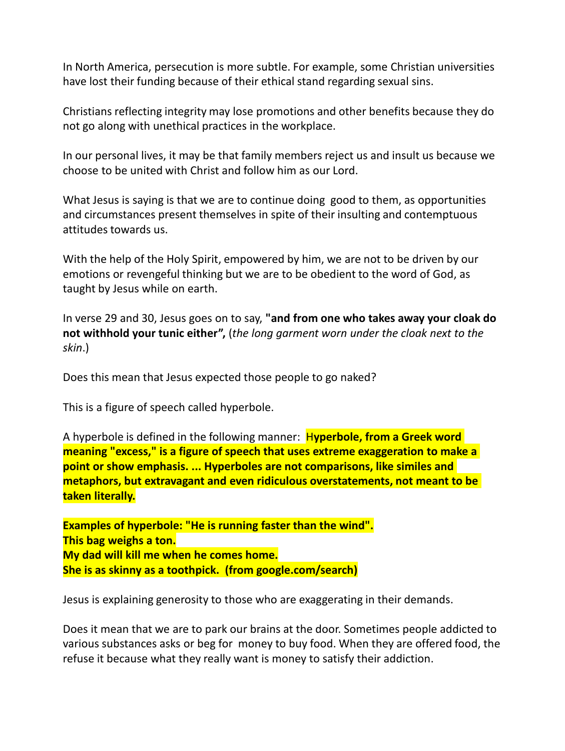In North America, persecution is more subtle. For example, some Christian universities have lost their funding because of their ethical stand regarding sexual sins.

Christians reflecting integrity may lose promotions and other benefits because they do not go along with unethical practices in the workplace.

In our personal lives, it may be that family members reject us and insult us because we choose to be united with Christ and follow him as our Lord.

What Jesus is saying is that we are to continue doing good to them, as opportunities and circumstances present themselves in spite of their insulting and contemptuous attitudes towards us.

With the help of the Holy Spirit, empowered by him, we are not to be driven by our emotions or revengeful thinking but we are to be obedient to the word of God, as taught by Jesus while on earth.

In verse 29 and 30, Jesus goes on to say, **"and from one who takes away your cloak do not withhold your tunic either",** (*the long garment worn under the cloak next to the skin*.)

Does this mean that Jesus expected those people to go naked?

This is a figure of speech called hyperbole.

A hyperbole is defined in the following manner: H**yperbole, from a Greek word meaning "excess," is a figure of speech that uses extreme exaggeration to make a point or show emphasis. ... Hyperboles are not comparisons, like similes and metaphors, but extravagant and even ridiculous overstatements, not meant to be taken literally.**

**Examples of hyperbole: "He is running faster than the wind". This bag weighs a ton. My dad will kill me when he comes home. She is as skinny as a toothpick. (from google.com/search)**

Jesus is explaining generosity to those who are exaggerating in their demands.

Does it mean that we are to park our brains at the door. Sometimes people addicted to various substances asks or beg for money to buy food. When they are offered food, the refuse it because what they really want is money to satisfy their addiction.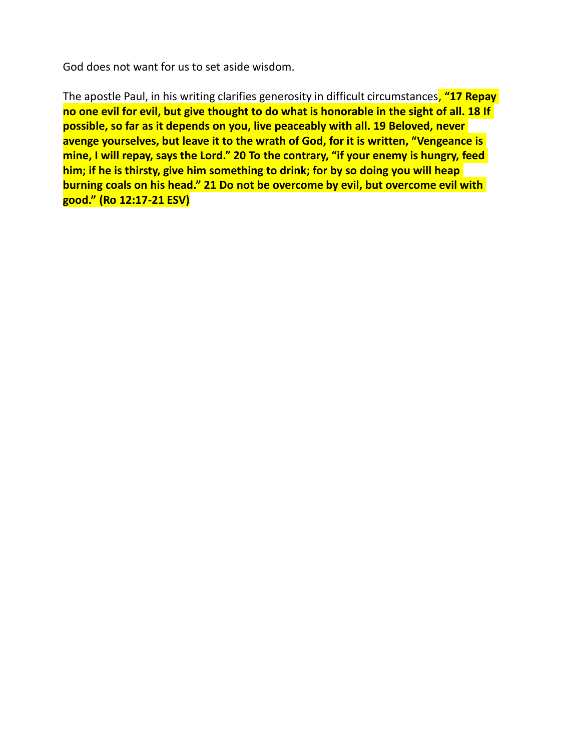God does not want for us to set aside wisdom.

The apostle Paul, in his writing clarifies generosity in difficult circumstances, **"17 Repay no one evil for evil, but give thought to do what is honorable in the sight of all. 18 If possible, so far as it depends on you, live peaceably with all. 19 Beloved, never avenge yourselves, but leave it to the wrath of God, for it is written, "Vengeance is mine, I will repay, says the Lord." 20 To the contrary, "if your enemy is hungry, feed him; if he is thirsty, give him something to drink; for by so doing you will heap burning coals on his head." 21 Do not be overcome by evil, but overcome evil with good." (Ro 12:17-21 ESV)**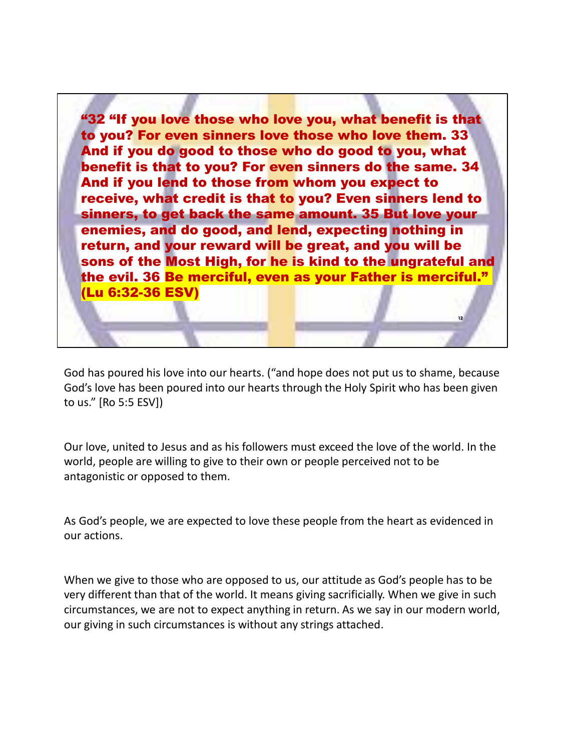"32 "If you love those who love you, what benefit is that to you? For even sinners love those who love them. 33 And if you do good to those who do good to you, what benefit is that to you? For even sinners do the same. 34 And if you lend to those from whom you expect to receive, what credit is that to you? Even sinners lend to sinners, to get back the same amount. 35 But love your enemies, and do good, and lend, expecting nothing in return, and your reward will be great, and you will be sons of the Most High, for he is kind to the ungrateful and the evil. 36 Be merciful, even as your Father is merciful." (Lu 6:32-36 ESV)

God has poured his love into our hearts. ("and hope does not put us to shame, because God's love has been poured into our hearts through the Holy Spirit who has been given to us." [Ro 5:5 ESV])

**12**

Our love, united to Jesus and as his followers must exceed the love of the world. In the world, people are willing to give to their own or people perceived not to be antagonistic or opposed to them.

As God's people, we are expected to love these people from the heart as evidenced in our actions.

When we give to those who are opposed to us, our attitude as God's people has to be very different than that of the world. It means giving sacrificially. When we give in such circumstances, we are not to expect anything in return. As we say in our modern world, our giving in such circumstances is without any strings attached.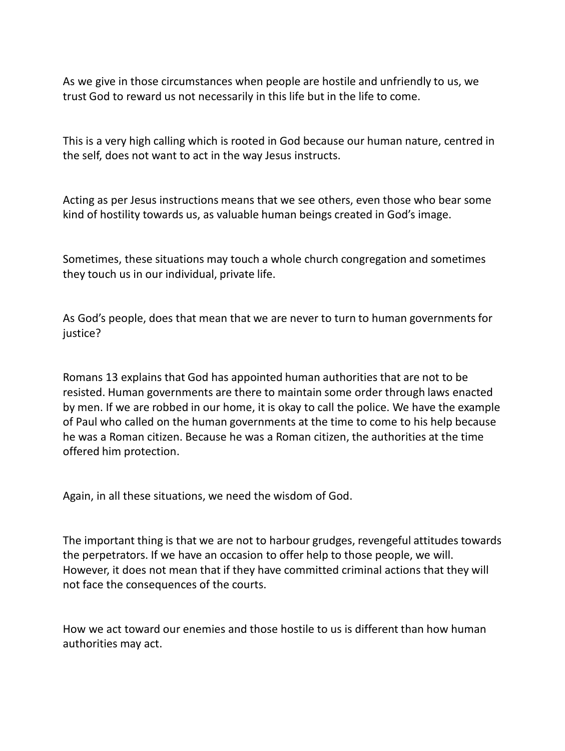As we give in those circumstances when people are hostile and unfriendly to us, we trust God to reward us not necessarily in this life but in the life to come.

This is a very high calling which is rooted in God because our human nature, centred in the self, does not want to act in the way Jesus instructs.

Acting as per Jesus instructions means that we see others, even those who bear some kind of hostility towards us, as valuable human beings created in God's image.

Sometimes, these situations may touch a whole church congregation and sometimes they touch us in our individual, private life.

As God's people, does that mean that we are never to turn to human governments for justice?

Romans 13 explains that God has appointed human authorities that are not to be resisted. Human governments are there to maintain some order through laws enacted by men. If we are robbed in our home, it is okay to call the police. We have the example of Paul who called on the human governments at the time to come to his help because he was a Roman citizen. Because he was a Roman citizen, the authorities at the time offered him protection.

Again, in all these situations, we need the wisdom of God.

The important thing is that we are not to harbour grudges, revengeful attitudes towards the perpetrators. If we have an occasion to offer help to those people, we will. However, it does not mean that if they have committed criminal actions that they will not face the consequences of the courts.

How we act toward our enemies and those hostile to us is different than how human authorities may act.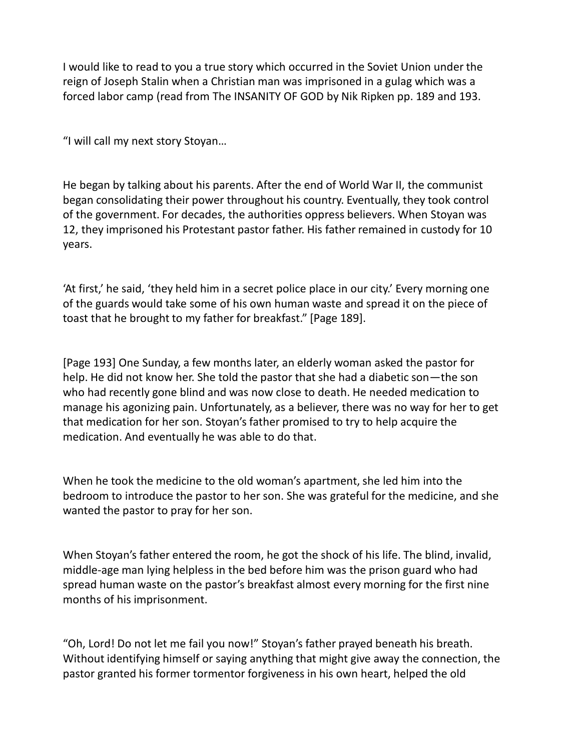I would like to read to you a true story which occurred in the Soviet Union under the reign of Joseph Stalin when a Christian man was imprisoned in a gulag which was a forced labor camp (read from The INSANITY OF GOD by Nik Ripken pp. 189 and 193.

"I will call my next story Stoyan…

He began by talking about his parents. After the end of World War II, the communist began consolidating their power throughout his country. Eventually, they took control of the government. For decades, the authorities oppress believers. When Stoyan was 12, they imprisoned his Protestant pastor father. His father remained in custody for 10 years.

'At first,' he said, 'they held him in a secret police place in our city.' Every morning one of the guards would take some of his own human waste and spread it on the piece of toast that he brought to my father for breakfast." [Page 189].

[Page 193] One Sunday, a few months later, an elderly woman asked the pastor for help. He did not know her. She told the pastor that she had a diabetic son—the son who had recently gone blind and was now close to death. He needed medication to manage his agonizing pain. Unfortunately, as a believer, there was no way for her to get that medication for her son. Stoyan's father promised to try to help acquire the medication. And eventually he was able to do that.

When he took the medicine to the old woman's apartment, she led him into the bedroom to introduce the pastor to her son. She was grateful for the medicine, and she wanted the pastor to pray for her son.

When Stoyan's father entered the room, he got the shock of his life. The blind, invalid, middle-age man lying helpless in the bed before him was the prison guard who had spread human waste on the pastor's breakfast almost every morning for the first nine months of his imprisonment.

"Oh, Lord! Do not let me fail you now!" Stoyan's father prayed beneath his breath. Without identifying himself or saying anything that might give away the connection, the pastor granted his former tormentor forgiveness in his own heart, helped the old